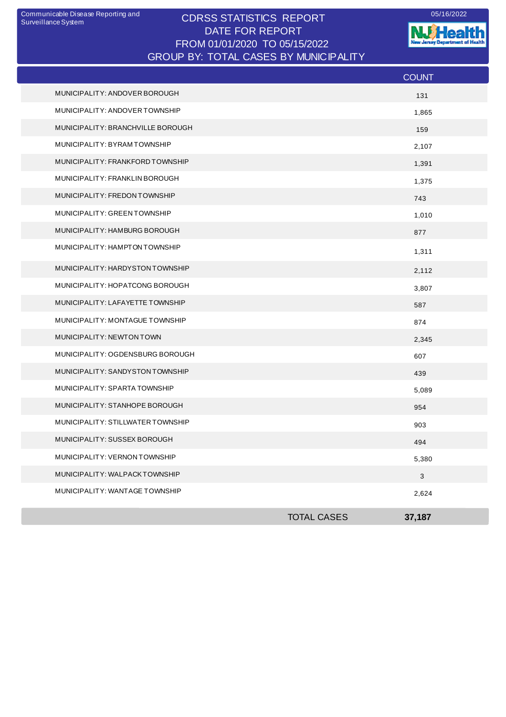## CDRSS STATISTICS REPORT Communicable Disease Reporting and 05/16/2022 DATE FOR REPORT FROM 01/01/2020 TO 05/15/2022 GROUP BY: TOTAL CASES BY MUNICIPALITY

**W**Health nt of Health Jarasy Departm

|                                   |                    | <b>COUNT</b> |
|-----------------------------------|--------------------|--------------|
| MUNICIPALITY: ANDOVER BOROUGH     |                    | 131          |
| MUNICIPALITY: ANDOVER TOWNSHIP    |                    | 1,865        |
| MUNICIPALITY: BRANCHVILLE BOROUGH |                    | 159          |
| MUNICIPALITY: BYRAMTOWNSHIP       |                    | 2,107        |
| MUNICIPALITY: FRANKFORD TOWNSHIP  |                    | 1,391        |
| MUNICIPALITY: FRANKLIN BOROUGH    |                    | 1,375        |
| MUNICIPALITY: FREDON TOWNSHIP     |                    | 743          |
| MUNICIPALITY: GREEN TOWNSHIP      |                    | 1,010        |
| MUNICIPALITY: HAMBURG BOROUGH     |                    | 877          |
| MUNICIPALITY: HAMPTON TOWNSHIP    |                    | 1,311        |
| MUNICIPALITY: HARDYSTON TOWNSHIP  |                    | 2,112        |
| MUNICIPALITY: HOPATCONG BOROUGH   |                    | 3,807        |
| MUNICIPALITY: LAFAYETTE TOWNSHIP  |                    | 587          |
| MUNICIPALITY: MONTAGUE TOWNSHIP   |                    | 874          |
| MUNICIPALITY: NEWTON TOWN         |                    | 2,345        |
| MUNICIPALITY: OGDENSBURG BOROUGH  |                    | 607          |
| MUNICIPALITY: SANDYSTON TOWNSHIP  |                    | 439          |
| MUNICIPALITY: SPARTA TOWNSHIP     |                    | 5,089        |
| MUNICIPALITY: STANHOPE BOROUGH    |                    | 954          |
| MUNICIPALITY: STILLWATER TOWNSHIP |                    | 903          |
| MUNICIPALITY: SUSSEX BOROUGH      |                    | 494          |
| MUNICIPALITY: VERNON TOWNSHIP     |                    | 5,380        |
| MUNICIPALITY: WALPACKTOWNSHIP     |                    | $\mathbf{3}$ |
| MUNICIPALITY: WANTAGE TOWNSHIP    |                    | 2,624        |
|                                   | <b>TOTAL CASES</b> | 37,187       |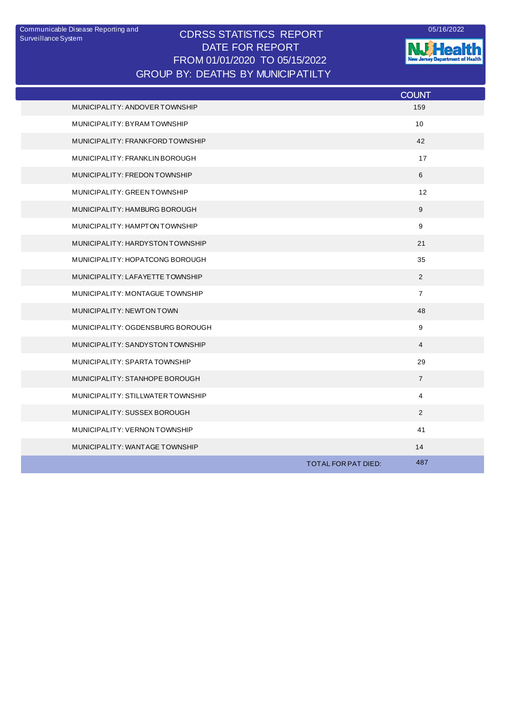## CDRSS STATISTICS REPORT DATE FOR REPORT FROM 01/01/2020 TO 05/15/2022 Communicable Disease Reporting and <br>
CODCO CTATICTICO DEDODT GROUP BY: DEATHS BY MUNICIPATILTY



**NJ** Health

|                                   | <b>COUNT</b>               |
|-----------------------------------|----------------------------|
| MUNICIPALITY: ANDOVER TOWNSHIP    | 159                        |
| MUNICIPALITY: BYRAMTOWNSHIP       | 10 <sup>1</sup>            |
| MUNICIPALITY: FRANKFORD TOWNSHIP  | 42                         |
| MUNICIPALITY: FRANKLIN BOROUGH    | 17                         |
| MUNICIPALITY: FREDON TOWNSHIP     | 6                          |
| MUNICIPALITY: GREEN TOWNSHIP      | 12                         |
| MUNICIPALITY: HAMBURG BOROUGH     | 9                          |
| MUNICIPALITY: HAMPTON TOWNSHIP    | 9                          |
| MUNICIPALITY: HARDYSTON TOWNSHIP  | 21                         |
| MUNICIPALITY: HOPATCONG BOROUGH   | 35                         |
| MUNICIPALITY: LAFAYETTE TOWNSHIP  | 2                          |
| MUNICIPALITY: MONTAGUE TOWNSHIP   | $\overline{7}$             |
| MUNICIPALITY: NEWTON TOWN         | 48                         |
| MUNICIPALITY: OGDENSBURG BOROUGH  | 9                          |
| MUNICIPALITY: SANDYSTON TOWNSHIP  | $\overline{4}$             |
| MUNICIPALITY: SPARTA TOWNSHIP     | 29                         |
| MUNICIPALITY: STANHOPE BOROUGH    | $\overline{7}$             |
| MUNICIPALITY: STILLWATER TOWNSHIP | 4                          |
| MUNICIPALITY: SUSSEX BOROUGH      | 2                          |
| MUNICIPALITY: VERNON TOWNSHIP     | 41                         |
| MUNICIPALITY: WANTAGE TOWNSHIP    | 14                         |
|                                   | 487<br>TOTAL FOR PAT DIED: |
|                                   |                            |